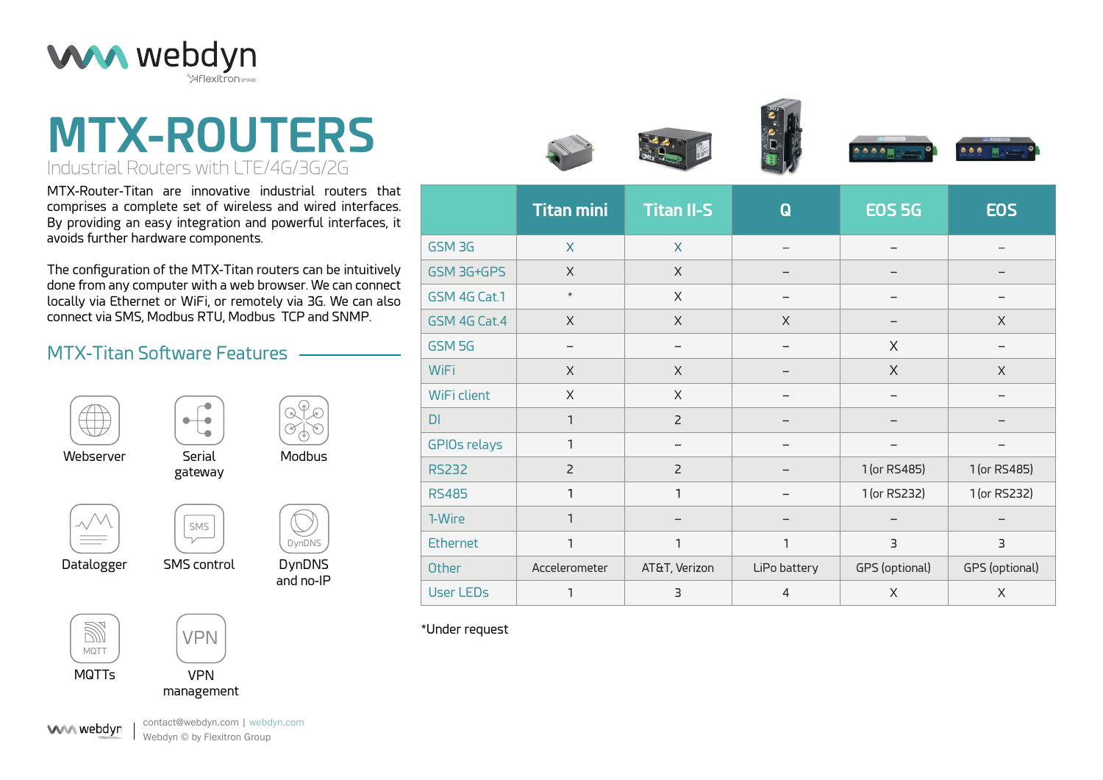

# **MTX-ROUTERS** Industrial Routers with LTE/4G/3G/2G

MTX-Router-Titan are innovative industrial routers that comprises a complete set of wireless and wired interfaces. By providing an easy integration and powerful interfaces, it avoids further hardware components.

The configuration of the MTX-Titan routers can be intuitively done from any computer with a web browser. We can connect locally via Ethernet or WiFi, or remotely via 3G. We can also connect via SMS, Modbus RTU, Modbus TCP and SNMP.

### MTX-Titan Software Features



DynDNS and no-IP

DynDNS

Webserver

Serial Modbus gateway

 $\wedge/$ 

Datalogger





SMS control

SMS

 $\bullet\textcolor{red}{\mathbf{+}}\bullet\textcolor{red}{\mathbf{+}}$ 



VPN

management



contact@webdyn.com | webdyn.com Webdyn © by Flexitron Group







|                     | <b>Titan mini</b> | <b>Titan II-S</b> | $\bf{Q}$     | <b>EOS 5G</b>  | <b>EOS</b>     |
|---------------------|-------------------|-------------------|--------------|----------------|----------------|
| GSM3G               | $\mathsf{X}$      | $\mathsf{X}$      |              |                |                |
| GSM 3G+GPS          | X                 | $\mathsf{X}$      |              |                |                |
| GSM 4G Cat.1        | $\star$           | $\times$          |              |                |                |
| GSM 4G Cat.4        | X                 | $\times$          | X            |                | X              |
| GSM 5G              |                   |                   |              | X              |                |
| <b>WiFi</b>         | $\times$          | $\times$          |              | X              | $\mathsf{X}$   |
| WiFi client         | X                 | $\times$          |              |                |                |
| DI                  | $\mathbf{1}$      | $\overline{2}$    |              |                |                |
| <b>GPIOs relays</b> | $\mathbf{1}$      |                   |              |                |                |
| <b>RS232</b>        | $\overline{2}$    | $\overline{2}$    |              | 1 (or RS485)   | 1 (or RS485)   |
| <b>RS485</b>        | 1                 | 1                 |              | 1 (or RS232)   | 1 (or RS232)   |
| 1-Wire              | $\mathbf{1}$      |                   |              |                |                |
| <b>Ethernet</b>     | $\mathbf{1}$      | $\mathbf{1}$      | 1            | 3              | 3              |
| <b>Other</b>        | Accelerometer     | AT&T, Verizon     | LiPo battery | GPS (optional) | GPS (optional) |
| <b>User LEDs</b>    | 1                 | 3                 | 4            | X              | X              |

\*Under request